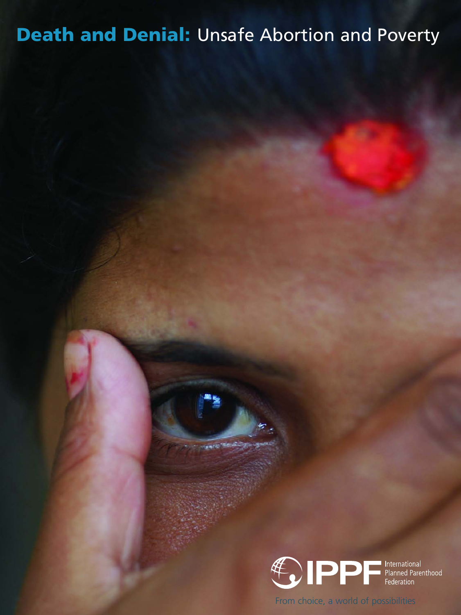## **Death and Denial:** Unsafe Abortion and Poverty



From choice, a world of possibilities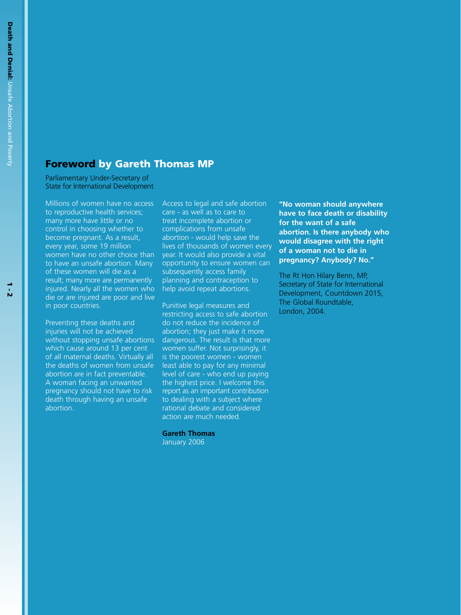## **Foreword by Gareth Thomas MP**

Parliamentary Under-Secretary of State for International Development

Millions of women have no access to reproductive health services; many more have little or no control in choosing whether to become pregnant. As a result, every year, some 19 million women have no other choice than to have an unsafe abortion. Many of these women will die as a result; many more are permanently injured. Nearly all the women who die or are injured are poor and live in poor countries.

Preventing these deaths and injuries will not be achieved without stopping unsafe abortions which cause around 13 per cent of all maternal deaths. Virtually all the deaths of women from unsafe abortion are in fact preventable. A woman facing an unwanted pregnancy should not have to risk death through having an unsafe abortion.

Access to legal and safe abortion care - as well as to care to treat incomplete abortion or complications from unsafe abortion - would help save the lives of thousands of women every year. It would also provide a vital opportunity to ensure women can subsequently access family planning and contraception to help avoid repeat abortions.

Punitive legal measures and restricting access to safe abortion do not reduce the incidence of abortion; they just make it more dangerous. The result is that more women suffer. Not surprisingly, it is the poorest women - women least able to pay for any minimal level of care - who end up paying the highest price. I welcome this report as an important contribution to dealing with a subject where rational debate and considered action are much needed.

**Gareth Thomas**

January 2006

**"No woman should anywhere have to face death or disability for the want of a safe abortion. Is there anybody who would disagree with the right of a woman not to die in pregnancy? Anybody? No."**

The Rt Hon Hilary Benn, MP, Secretary of State for International Development, Countdown 2015, The Global Roundtable, London, 2004.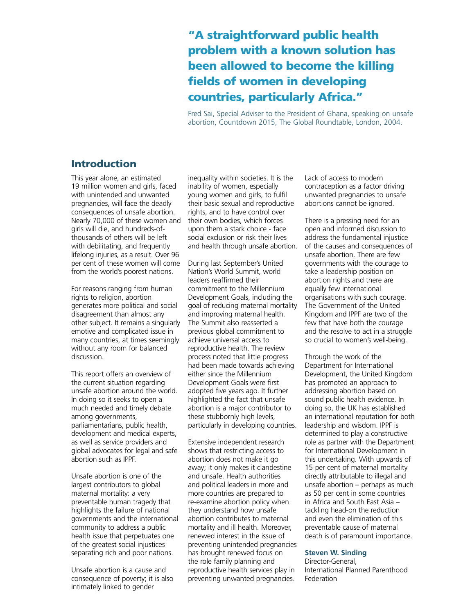## **"A straightforward public health problem with a known solution has been allowed to become the killing fields of women in developing countries, particularly Africa."**

Fred Sai, Special Adviser to the President of Ghana, speaking on unsafe abortion, Countdown 2015, The Global Roundtable, London, 2004.

## **Introduction**

This year alone, an estimated 19 million women and girls, faced with unintended and unwanted pregnancies, will face the deadly consequences of unsafe abortion. Nearly 70,000 of these women and girls will die, and hundreds-ofthousands of others will be left with debilitating, and frequently lifelong injuries, as a result. Over 96 per cent of these women will come from the world's poorest nations.

For reasons ranging from human rights to religion, abortion generates more political and social disagreement than almost any other subject. It remains a singularly emotive and complicated issue in many countries, at times seemingly without any room for balanced discussion.

This report offers an overview of the current situation regarding unsafe abortion around the world. In doing so it seeks to open a much needed and timely debate among governments, parliamentarians, public health, development and medical experts, as well as service providers and global advocates for legal and safe abortion such as IPPF.

Unsafe abortion is one of the largest contributors to global maternal mortality: a very preventable human tragedy that highlights the failure of national governments and the international community to address a public health issue that perpetuates one of the greatest social injustices separating rich and poor nations.

Unsafe abortion is a cause and consequence of poverty; it is also intimately linked to gender

inequality within societies. It is the inability of women, especially young women and girls, to fulfil their basic sexual and reproductive rights, and to have control over their own bodies, which forces upon them a stark choice - face social exclusion or risk their lives and health through unsafe abortion.

During last September's United Nation's World Summit, world leaders reaffirmed their commitment to the Millennium Development Goals, including the goal of reducing maternal mortality and improving maternal health. The Summit also reasserted a previous global commitment to achieve universal access to reproductive health. The review process noted that little progress had been made towards achieving either since the Millennium Development Goals were first adopted five years ago. It further highlighted the fact that unsafe abortion is a major contributor to these stubbornly high levels, particularly in developing countries.

Extensive independent research shows that restricting access to abortion does not make it go away; it only makes it clandestine and unsafe. Health authorities and political leaders in more and more countries are prepared to re-examine abortion policy when they understand how unsafe abortion contributes to maternal mortality and ill health. Moreover, renewed interest in the issue of preventing unintended pregnancies has brought renewed focus on the role family planning and reproductive health services play in preventing unwanted pregnancies.

Lack of access to modern contraception as a factor driving unwanted pregnancies to unsafe abortions cannot be ignored.

There is a pressing need for an open and informed discussion to address the fundamental injustice of the causes and consequences of unsafe abortion. There are few governments with the courage to take a leadership position on abortion rights and there are equally few international organisations with such courage. The Government of the United Kingdom and IPPF are two of the few that have both the courage and the resolve to act in a struggle so crucial to women's well-being.

Through the work of the Department for International Development, the United Kingdom has promoted an approach to addressing abortion based on sound public health evidence. In doing so, the UK has established an international reputation for both leadership and wisdom. IPPF is determined to play a constructive role as partner with the Department for International Development in this undertaking. With upwards of 15 per cent of maternal mortality directly attributable to illegal and unsafe abortion – perhaps as much as 50 per cent in some countries in Africa and South East Asia – tackling head-on the reduction and even the elimination of this preventable cause of maternal death is of paramount importance.

#### **Steven W. Sinding**

Director-General, International Planned Parenthood Federation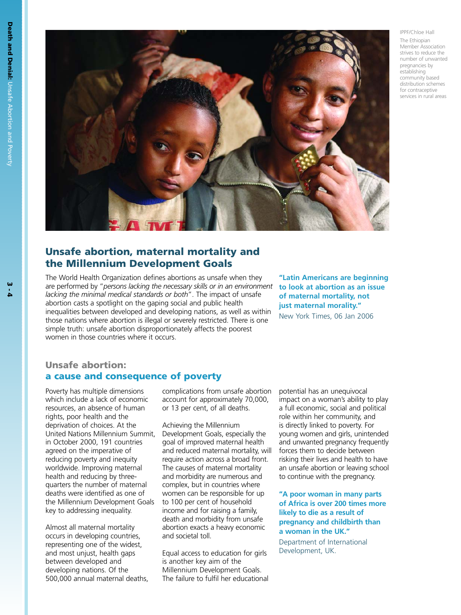

IPPF/Chloe Hall The Ethiopian Member Association strives to reduce the number of unwanted pregnancies by establishing community based distribution schemes for contraceptive services in rural areas

## **Unsafe abortion, maternal mortality and the Millennium Development Goals**

The World Health Organization defines abortions as unsafe when they are performed by "*persons lacking the necessary skills or in an environment* **to look at abortion as an issue** *lacking the minimal medical standards or both*". The impact of unsafe abortion casts a spotlight on the gaping social and public health inequalities between developed and developing nations, as well as within those nations where abortion is illegal or severely restricted. There is one simple truth: unsafe abortion disproportionately affects the poorest women in those countries where it occurs.

**"Latin Americans are beginning of maternal mortality, not just maternal morality."** New York Times, 06 Jan 2006

## **Unsafe abortion: a cause and consequence of poverty**

Poverty has multiple dimensions which include a lack of economic resources, an absence of human rights, poor health and the deprivation of choices. At the United Nations Millennium Summit, in October 2000, 191 countries agreed on the imperative of reducing poverty and inequity worldwide. Improving maternal health and reducing by threequarters the number of maternal deaths were identified as one of the Millennium Development Goals key to addressing inequality.

Almost all maternal mortality occurs in developing countries, representing one of the widest, and most unjust, health gaps between developed and developing nations. Of the 500,000 annual maternal deaths, complications from unsafe abortion account for approximately 70,000, or 13 per cent, of all deaths.

Achieving the Millennium Development Goals, especially the goal of improved maternal health and reduced maternal mortality, will require action across a broad front. The causes of maternal mortality and morbidity are numerous and complex, but in countries where women can be responsible for up to 100 per cent of household income and for raising a family, death and morbidity from unsafe abortion exacts a heavy economic and societal toll.

Equal access to education for girls is another key aim of the Millennium Development Goals. The failure to fulfil her educational

potential has an unequivocal impact on a woman's ability to play a full economic, social and political role within her community, and is directly linked to poverty. For young women and girls, unintended and unwanted pregnancy frequently forces them to decide between risking their lives and health to have an unsafe abortion or leaving school to continue with the pregnancy.

**"A poor woman in many parts of Africa is over 200 times more likely to die as a result of pregnancy and childbirth than a woman in the UK."** 

Department of International Development, UK.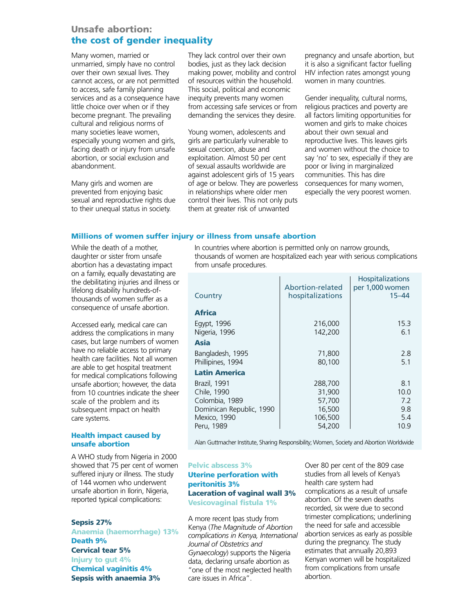## **Unsafe abortion: the cost of gender inequality**

Many women, married or unmarried, simply have no control over their own sexual lives. They cannot access, or are not permitted to access, safe family planning services and as a consequence have little choice over when or if they become pregnant. The prevailing cultural and religious norms of many societies leave women, especially young women and girls, facing death or injury from unsafe abortion, or social exclusion and abandonment.

Many girls and women are prevented from enjoying basic sexual and reproductive rights due to their unequal status in society.

They lack control over their own bodies, just as they lack decision making power, mobility and control of resources within the household. This social, political and economic inequity prevents many women from accessing safe services or from demanding the services they desire.

Young women, adolescents and girls are particularly vulnerable to sexual coercion, abuse and exploitation. Almost 50 per cent of sexual assaults worldwide are against adolescent girls of 15 years of age or below. They are powerless in relationships where older men control their lives. This not only puts them at greater risk of unwanted

pregnancy and unsafe abortion, but it is also a significant factor fuelling HIV infection rates amongst young women in many countries.

Gender inequality, cultural norms, religious practices and poverty are all factors limiting opportunities for women and girls to make choices about their own sexual and reproductive lives. This leaves girls and women without the choice to say 'no' to sex, especially if they are poor or living in marginalized communities. This has dire consequences for many women, especially the very poorest women.

### **Millions of women suffer injury or illness from unsafe abortion**

While the death of a mother, daughter or sister from unsafe abortion has a devastating impact on a family, equally devastating are the debilitating injuries and illness or lifelong disability hundreds-ofthousands of women suffer as a consequence of unsafe abortion.

Accessed early, medical care can address the complications in many cases, but large numbers of women have no reliable access to primary health care facilities. Not all women are able to get hospital treatment for medical complications following unsafe abortion; however, the data from 10 countries indicate the sheer scale of the problem and its subsequent impact on health care systems.

#### **Health impact caused by unsafe abortion**

A WHO study from Nigeria in 2000 showed that 75 per cent of women suffered injury or illness. The study of 144 women who underwent unsafe abortion in Ilorin, Nigeria, reported typical complications:

#### **Sepsis 27%**

**Anaemia (haemorrhage) 13% Death 9% Cervical tear 5% Injury to gut 4% Chemical vaginitis 4% Sepsis with anaemia 3%**

In countries where abortion is permitted only on narrow grounds, thousands of women are hospitalized each year with serious complications from unsafe procedures.

| Country                                                                                                 | Abortion-related<br>hospitalizations                       | Hospitalizations<br>per 1,000 women<br>$15 - 44$ |
|---------------------------------------------------------------------------------------------------------|------------------------------------------------------------|--------------------------------------------------|
| <b>Africa</b>                                                                                           |                                                            |                                                  |
| Egypt, 1996<br>Nigeria, 1996                                                                            | 216,000<br>142,200                                         | 15.3<br>6.1                                      |
| Asia                                                                                                    |                                                            |                                                  |
| Bangladesh, 1995<br>Phillipines, 1994                                                                   | 71,800<br>80,100                                           | 2.8<br>5.1                                       |
| <b>Latin America</b>                                                                                    |                                                            |                                                  |
| Brazil, 1991<br>Chile, 1990<br>Colombia, 1989<br>Dominican Republic, 1990<br>Mexico, 1990<br>Peru, 1989 | 288,700<br>31,900<br>57,700<br>16,500<br>106,500<br>54,200 | 8.1<br>10.0<br>7.2<br>9.8<br>5.4<br>10.9         |

Alan Guttmacher Institute, Sharing Responsibility; Women, Society and Abortion Worldwide

#### **Pelvic abscess 3%**

## **Uterine perforation with peritonitis 3% Laceration of vaginal wall 3% Vesicovaginal fistula 1%**

A more recent Ipas study from Kenya (*The Magnitude of Abortion complications in Kenya, International Journal of Obstetrics and Gynaecology*) supports the Nigeria data, declaring unsafe abortion as "one of the most neglected health care issues in Africa".

Over 80 per cent of the 809 case studies from all levels of Kenya's health care system had complications as a result of unsafe abortion. Of the seven deaths recorded, six were due to second trimester complications; underlining the need for safe and accessible abortion services as early as possible during the pregnancy. The study estimates that annually 20,893 Kenyan women will be hospitalized from complications from unsafe abortion.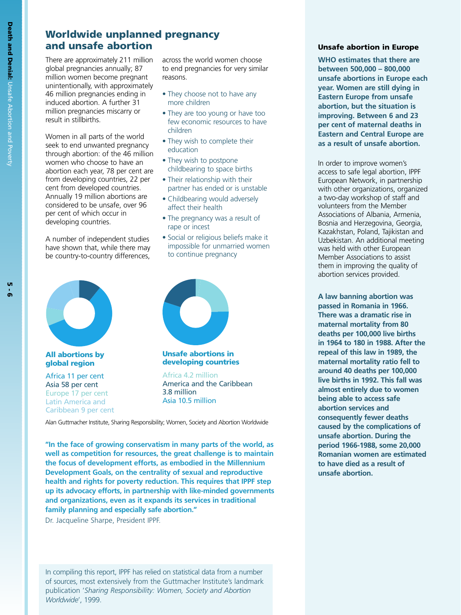# **Worldwide unplanned pregnancy**

There are approximately 211 million global pregnancies annually; 87 million women become pregnant unintentionally, with approximately 46 million pregnancies ending in induced abortion. A further 31 million pregnancies miscarry or result in stillbirths.

Women in all parts of the world seek to end unwanted pregnancy through abortion: of the 46 million women who choose to have an abortion each year, 78 per cent are from developing countries, 22 per cent from developed countries. Annually 19 million abortions are considered to be unsafe, over 96 per cent of which occur in developing countries.

A number of independent studies have shown that, while there may be country-to-country differences, across the world women choose to end pregnancies for very similar reasons.

- They choose not to have any more children
- They are too young or have too few economic resources to have children
- They wish to complete their education
- They wish to postpone childbearing to space births
- Their relationship with their partner has ended or is unstable
- Childbearing would adversely affect their health
- The pregnancy was a result of rape or incest
- Social or religious beliefs make it impossible for unmarried women to continue pregnancy



**All abortions by global region**

Africa 11 per cent Asia 58 per cent Europe 17 per cent Latin America and Caribbean 9 per cent



**Unsafe abortions in developing countries**

Africa 4.2 million America and the Caribbean 3.8 million Asia 10.5 million

Alan Guttmacher Institute, Sharing Responsibility; Women, Society and Abortion Worldwide

**"In the face of growing conservatism in many parts of the world, as well as competition for resources, the great challenge is to maintain the focus of development efforts, as embodied in the Millennium Development Goals, on the centrality of sexual and reproductive health and rights for poverty reduction. This requires that IPPF step up its advocacy efforts, in partnership with like-minded governments and organizations, even as it expands its services in traditional family planning and especially safe abortion."**

Dr. Jacqueline Sharpe, President IPPF.

In compiling this report, IPPF has relied on statistical data from a number of sources, most extensively from the Guttmacher Institute's landmark publication '*Sharing Responsibility: Women, Society and Abortion Worldwide*', 1999.

#### **and unsafe abortion Unsafe abortion in Europe**

**WHO estimates that there are between 500,000 – 800,000 unsafe abortions in Europe each year. Women are still dying in Eastern Europe from unsafe abortion, but the situation is improving. Between 6 and 23 per cent of maternal deaths in Eastern and Central Europe are as a result of unsafe abortion.** 

In order to improve women's access to safe legal abortion, IPPF European Network, in partnership with other organizations, organized a two-day workshop of staff and volunteers from the Member Associations of Albania, Armenia, Bosnia and Herzegovina, Georgia, Kazakhstan, Poland, Tajikistan and Uzbekistan. An additional meeting was held with other European Member Associations to assist them in improving the quality of abortion services provided.

**A law banning abortion was passed in Romania in 1966. There was a dramatic rise in maternal mortality from 80 deaths per 100,000 live births in 1964 to 180 in 1988. After the repeal of this law in 1989, the maternal mortality ratio fell to around 40 deaths per 100,000 live births in 1992. This fall was almost entirely due to women being able to access safe abortion services and consequently fewer deaths caused by the complications of unsafe abortion. During the period 1966-1988, some 20,000 Romanian women are estimated to have died as a result of unsafe abortion.**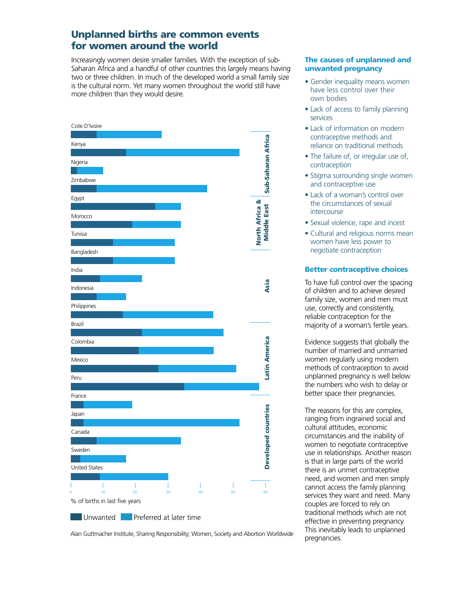## **Unplanned births are common events for women around the world**

Increasingly women desire smaller families. With the exception of sub-Saharan Africa and a handful of other countries this largely means having two or three children. In much of the developed world a small family size is the cultural norm. Yet many women throughout the world still have more children than they would desire.



Alan Guttmacher Institute, Sharing Responsibility; Women, Society and Abortion Worldwide

#### **The causes of unplanned and unwanted pregnancy**

- Gender inequality means women have less control over their own bodies
- Lack of access to family planning services
- Lack of information on modern contraceptive methods and reliance on traditional methods
- The failure of, or irregular use of, contraception
- Stigma surrounding single women and contraceptive use
- Lack of a woman's control over the circumstances of sexual intercourse
- Sexual violence, rape and incest
- Cultural and religious norms mean women have less power to negotiate contraception

## **Better contraceptive choices**

To have full control over the spacing of children and to achieve desired family size, women and men must use, correctly and consistently, reliable contraception for the majority of a woman's fertile years.

Evidence suggests that globally the number of married and unmarried women regularly using modern methods of contraception to avoid unplanned pregnancy is well below the numbers who wish to delay or better space their pregnancies.

The reasons for this are complex, ranging from ingrained social and cultural attitudes, economic circumstances and the inability of women to negotiate contraceptive use in relationships. Another reason is that in large parts of the world there is an unmet contraceptive need, and women and men simply cannot access the family planning services they want and need. Many couples are forced to rely on traditional methods which are not effective in preventing pregnancy. This inevitably leads to unplanned pregnancies.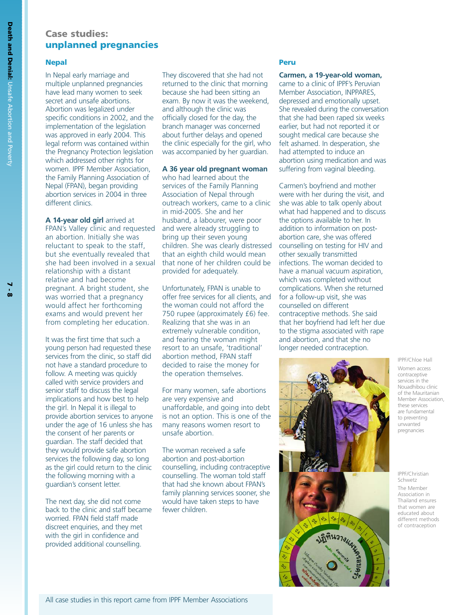## **Case studies: unplanned pregnancies**

#### **Nepal**

In Nepal early marriage and multiple unplanned pregnancies have lead many women to seek secret and unsafe abortions. Abortion was legalized under specific conditions in 2002, and the implementation of the legislation was approved in early 2004. This legal reform was contained within the Pregnancy Protection legislation which addressed other rights for women. IPPF Member Association, the Family Planning Association of Nepal (FPAN), began providing abortion services in 2004 in three different clinics.

**A 14-year old girl** arrived at FPAN's Valley clinic and requested an abortion. Initially she was reluctant to speak to the staff, but she eventually revealed that she had been involved in a sexual relationship with a distant relative and had become pregnant. A bright student, she was worried that a pregnancy would affect her forthcoming exams and would prevent her from completing her education.

It was the first time that such a young person had requested these services from the clinic, so staff did not have a standard procedure to follow. A meeting was quickly called with service providers and senior staff to discuss the legal implications and how best to help the girl. In Nepal it is illegal to provide abortion services to anyone under the age of 16 unless she has the consent of her parents or guardian. The staff decided that they would provide safe abortion services the following day, so long as the girl could return to the clinic the following morning with a guardian's consent letter.

The next day, she did not come back to the clinic and staff became worried. FPAN field staff made discreet enquiries, and they met with the girl in confidence and provided additional counselling.

They discovered that she had not returned to the clinic that morning because she had been sitting an exam. By now it was the weekend, and although the clinic was officially closed for the day, the branch manager was concerned about further delays and opened the clinic especially for the girl, who was accompanied by her guardian.

#### **A 36 year old pregnant woman**

who had learned about the services of the Family Planning Association of Nepal through outreach workers, came to a clinic in mid-2005. She and her husband, a labourer, were poor and were already struggling to bring up their seven young children. She was clearly distressed that an eighth child would mean that none of her children could be provided for adequately.

Unfortunately, FPAN is unable to offer free services for all clients, and the woman could not afford the 750 rupee (approximately £6) fee. Realizing that she was in an extremely vulnerable condition, and fearing the woman might resort to an unsafe, 'traditional' abortion method, FPAN staff decided to raise the money for the operation themselves.

For many women, safe abortions are very expensive and unaffordable, and going into debt is not an option. This is one of the many reasons women resort to unsafe abortion.

The woman received a safe abortion and post-abortion counselling, including contraceptive counselling. The woman told staff that had she known about FPAN's family planning services sooner, she would have taken steps to have fewer children.

#### **Peru**

**Carmen, a 19-year-old woman,** came to a clinic of IPPF's Peruvian Member Association, INPPARES, depressed and emotionally upset. She revealed during the conversation that she had been raped six weeks earlier, but had not reported it or sought medical care because she felt ashamed. In desperation, she had attempted to induce an abortion using medication and was suffering from vaginal bleeding.

Carmen's boyfriend and mother were with her during the visit, and she was able to talk openly about what had happened and to discuss the options available to her. In addition to information on postabortion care, she was offered counselling on testing for HIV and other sexually transmitted infections. The woman decided to have a manual vacuum aspiration. which was completed without complications. When she returned for a follow-up visit, she was counselled on different contraceptive methods. She said that her boyfriend had left her due to the stigma associated with rape and abortion, and that she no longer needed contraception.



IPPF/Chloe Hall

Women access contraceptive services in the Nouadhibou clinic of the Mauritanian Member Association, these services are fundamental to preventing unwanted pregnancies

IPPF/Christian Schwetz The Member Association in Thailand ensures that women are educated about different methods of contraception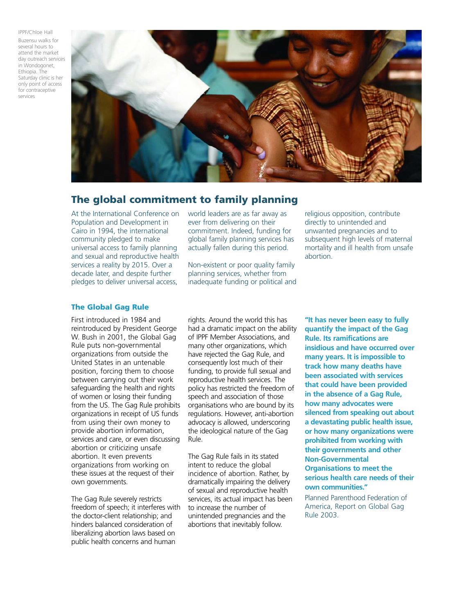IPPF/Chloe Hall Buzensu walks for several hours to attend the market day outreach services in Wondogonet, Ethiopia. The Saturday clinic is her only point of access for contraceptive services



## **The global commitment to family planning**

At the International Conference on Population and Development in Cairo in 1994, the international community pledged to make universal access to family planning and sexual and reproductive health services a reality by 2015. Over a decade later, and despite further pledges to deliver universal access,

world leaders are as far away as ever from delivering on their commitment. Indeed, funding for global family planning services has actually fallen during this period.

Non-existent or poor quality family planning services, whether from inadequate funding or political and religious opposition, contribute directly to unintended and unwanted pregnancies and to subsequent high levels of maternal mortality and ill health from unsafe abortion.

### **The Global Gag Rule**

First introduced in 1984 and reintroduced by President George W. Bush in 2001, the Global Gag Rule puts non-governmental organizations from outside the United States in an untenable position, forcing them to choose between carrying out their work safeguarding the health and rights of women or losing their funding from the US. The Gag Rule prohibits organizations in receipt of US funds from using their own money to provide abortion information, services and care, or even discussing abortion or criticizing unsafe abortion. It even prevents organizations from working on these issues at the request of their own governments.

The Gag Rule severely restricts freedom of speech; it interferes with the doctor-client relationship; and hinders balanced consideration of liberalizing abortion laws based on public health concerns and human

rights. Around the world this has had a dramatic impact on the ability of IPPF Member Associations, and many other organizations, which have rejected the Gag Rule, and consequently lost much of their funding, to provide full sexual and reproductive health services. The policy has restricted the freedom of speech and association of those organisations who are bound by its regulations. However, anti-abortion advocacy is allowed, underscoring the ideological nature of the Gag Rule.

The Gag Rule fails in its stated intent to reduce the global incidence of abortion. Rather, by dramatically impairing the delivery of sexual and reproductive health services, its actual impact has been to increase the number of unintended pregnancies and the abortions that inevitably follow.

**"It has never been easy to fully quantify the impact of the Gag Rule. Its ramifications are insidious and have occurred over many years. It is impossible to track how many deaths have been associated with services that could have been provided in the absence of a Gag Rule, how many advocates were silenced from speaking out about a devastating public health issue, or how many organizations were prohibited from working with their governments and other Non-Governmental Organisations to meet the serious health care needs of their own communities."** 

Planned Parenthood Federation of America, Report on Global Gag Rule 2003.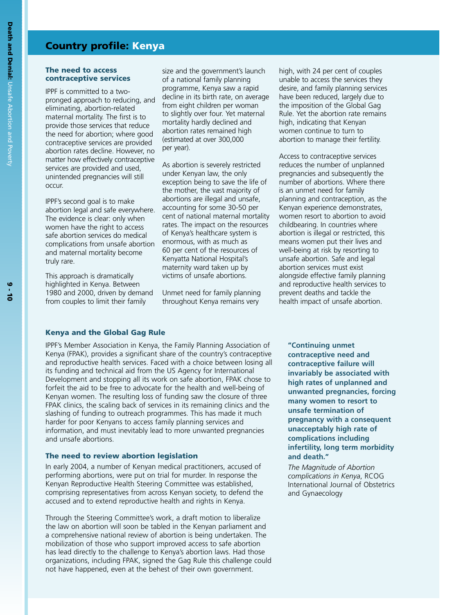## **Country profile: Kenya**

#### **The need to access contraceptive services**

IPPF is committed to a twopronged approach to reducing, and eliminating, abortion-related maternal mortality. The first is to provide those services that reduce the need for abortion; where good contraceptive services are provided abortion rates decline. However, no matter how effectively contraceptive services are provided and used, unintended pregnancies will still occur.

IPPF's second goal is to make abortion legal and safe everywhere. The evidence is clear: only when women have the right to access safe abortion services do medical complications from unsafe abortion and maternal mortality become truly rare.

This approach is dramatically highlighted in Kenya. Between 1980 and 2000, driven by demand from couples to limit their family

size and the government's launch of a national family planning programme, Kenya saw a rapid decline in its birth rate, on average from eight children per woman to slightly over four. Yet maternal mortality hardly declined and abortion rates remained high (estimated at over 300,000 per year).

As abortion is severely restricted under Kenyan law, the only exception being to save the life of the mother, the vast majority of abortions are illegal and unsafe, accounting for some 30-50 per cent of national maternal mortality rates. The impact on the resources of Kenya's healthcare system is enormous, with as much as 60 per cent of the resources of Kenyatta National Hospital's maternity ward taken up by victims of unsafe abortions.

Unmet need for family planning throughout Kenya remains very

high, with 24 per cent of couples unable to access the services they desire, and family planning services have been reduced, largely due to the imposition of the Global Gag Rule. Yet the abortion rate remains high, indicating that Kenyan women continue to turn to abortion to manage their fertility.

Access to contraceptive services reduces the number of unplanned pregnancies and subsequently the number of abortions. Where there is an unmet need for family planning and contraception, as the Kenyan experience demonstrates, women resort to abortion to avoid childbearing. In countries where abortion is illegal or restricted, this means women put their lives and well-being at risk by resorting to unsafe abortion. Safe and legal abortion services must exist alongside effective family planning and reproductive health services to prevent deaths and tackle the health impact of unsafe abortion.

#### **Kenya and the Global Gag Rule**

IPPF's Member Association in Kenya, the Family Planning Association of Kenya (FPAK), provides a significant share of the country's contraceptive and reproductive health services. Faced with a choice between losing all its funding and technical aid from the US Agency for International Development and stopping all its work on safe abortion, FPAK chose to forfeit the aid to be free to advocate for the health and well-being of Kenyan women. The resulting loss of funding saw the closure of three FPAK clinics, the scaling back of services in its remaining clinics and the slashing of funding to outreach programmes. This has made it much harder for poor Kenyans to access family planning services and information, and must inevitably lead to more unwanted pregnancies and unsafe abortions.

#### **The need to review abortion legislation**

In early 2004, a number of Kenyan medical practitioners, accused of performing abortions, were put on trial for murder. In response the Kenyan Reproductive Health Steering Committee was established, comprising representatives from across Kenyan society, to defend the accused and to extend reproductive health and rights in Kenya.

Through the Steering Committee's work, a draft motion to liberalize the law on abortion will soon be tabled in the Kenyan parliament and a comprehensive national review of abortion is being undertaken. The mobilization of those who support improved access to safe abortion has lead directly to the challenge to Kenya's abortion laws. Had those organizations, including FPAK, signed the Gag Rule this challenge could not have happened, even at the behest of their own government.

**"Continuing unmet contraceptive need and contraceptive failure will invariably be associated with high rates of unplanned and unwanted pregnancies, forcing many women to resort to unsafe termination of pregnancy with a consequent unacceptably high rate of complications including infertility, long term morbidity and death."** 

*The Magnitude of Abortion complications in Kenya*, RCOG International Journal of Obstetrics and Gynaecology

**Death**

**and**

**Denial:**

Unsafe

Abortion

and

Poverty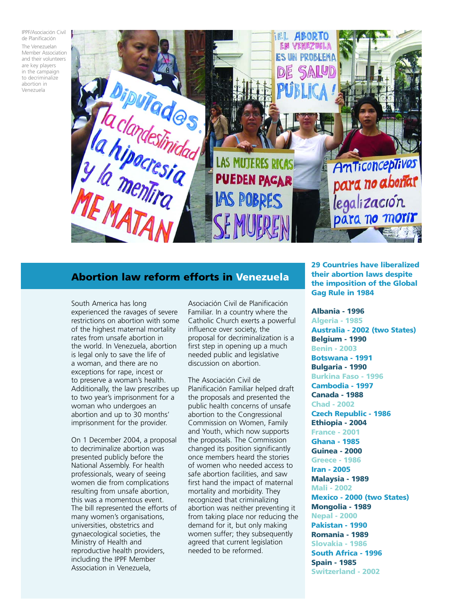IPPF/Asociación Civil de Planificación

The Venezuelan Member Association and their volunteers are key players in the campaign to decriminalize abortion in Venezuela



## **Abortion law reform efforts in Venezuela**

South America has long experienced the ravages of severe restrictions on abortion with some of the highest maternal mortality rates from unsafe abortion in the world. In Venezuela, abortion is legal only to save the life of a woman, and there are no exceptions for rape, incest or to preserve a woman's health. Additionally, the law prescribes up to two year's imprisonment for a woman who undergoes an abortion and up to 30 months' imprisonment for the provider.

On 1 December 2004, a proposal to decriminalize abortion was presented publicly before the National Assembly. For health professionals, weary of seeing women die from complications resulting from unsafe abortion, this was a momentous event. The bill represented the efforts of many women's organisations, universities, obstetrics and gynaecological societies, the Ministry of Health and reproductive health providers, including the IPPF Member Association in Venezuela,

Asociación Civil de Planificación Familiar. In a country where the Catholic Church exerts a powerful influence over society, the proposal for decriminalization is a first step in opening up a much needed public and legislative discussion on abortion.

The Asociación Civil de Planificación Familiar helped draft the proposals and presented the public health concerns of unsafe abortion to the Congressional Commission on Women, Family and Youth, which now supports the proposals. The Commission changed its position significantly once members heard the stories of women who needed access to safe abortion facilities, and saw first hand the impact of maternal mortality and morbidity. They recognized that criminalizing abortion was neither preventing it from taking place nor reducing the demand for it, but only making women suffer; they subsequently agreed that current legislation needed to be reformed.

**29 Countries have liberalized their abortion laws despite the imposition of the Global Gag Rule in 1984**

**Albania - 1996 Algeria - 1985 Australia - 2002 (two States) Belgium - 1990 Benin - 2003 Botswana - 1991 Bulgaria - 1990 Burkina Faso - 1996 Cambodia - 1997 Canada - 1988 Chad - 2002 Czech Republic - 1986 Ethiopia - 2004 France - 2001 Ghana - 1985 Guinea - 2000 Greece - 1986 Iran - 2005 Malaysia - 1989 Mali - 2002 Mexico - 2000 (two States) Mongolia - 1989 Nepal - 2000 Pakistan - 1990 Romania - 1989 Slovakia - 1986 South Africa - 1996 Spain - 1985 Switzerland - 2002**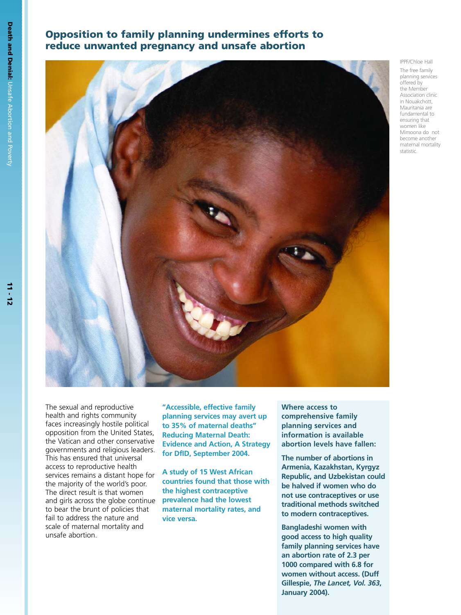## **Opposition to family planning undermines efforts to reduce unwanted pregnancy and unsafe abortion**



planning services offered by the Member Association clinic in Nouakchott, Mauritania are fundamental to ensuring that women like Mimoona do not become another

maternal mortality statistic.

IPPF/Chloe Hall The free family

The sexual and reproductive health and rights community faces increasingly hostile political opposition from the United States, the Vatican and other conservative governments and religious leaders. This has ensured that universal access to reproductive health services remains a distant hope for the majority of the world's poor. The direct result is that women and girls across the globe continue to bear the brunt of policies that fail to address the nature and scale of maternal mortality and unsafe abortion.

**"Accessible, effective family planning services may avert up to 35% of maternal deaths" Reducing Maternal Death: Evidence and Action, A Strategy for DfID, September 2004.**

**A study of 15 West African countries found that those with the highest contraceptive prevalence had the lowest maternal mortality rates, and vice versa.**

**Where access to comprehensive family planning services and information is available abortion levels have fallen:**

**The number of abortions in Armenia, Kazakhstan, Kyrgyz Republic, and Uzbekistan could be halved if women who do not use contraceptives or use traditional methods switched to modern contraceptives.**

**Bangladeshi women with good access to high quality family planning services have an abortion rate of 2.3 per 1000 compared with 6.8 for women without access. (Duff Gillespie,** *The Lancet, Vol. 363***, January 2004).**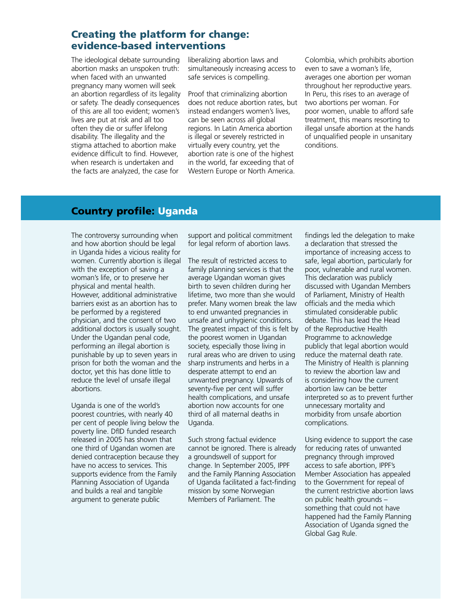## **Creating the platform for change: evidence-based interventions**

The ideological debate surrounding abortion masks an unspoken truth: when faced with an unwanted pregnancy many women will seek an abortion regardless of its legality or safety. The deadly consequences of this are all too evident; women's lives are put at risk and all too often they die or suffer lifelong disability. The illegality and the stigma attached to abortion make evidence difficult to find. However, when research is undertaken and the facts are analyzed, the case for

liberalizing abortion laws and simultaneously increasing access to safe services is compelling.

Proof that criminalizing abortion does not reduce abortion rates, but instead endangers women's lives, can be seen across all global regions. In Latin America abortion is illegal or severely restricted in virtually every country, yet the abortion rate is one of the highest in the world, far exceeding that of Western Europe or North America.

Colombia, which prohibits abortion even to save a woman's life, averages one abortion per woman throughout her reproductive years. In Peru, this rises to an average of two abortions per woman. For poor women, unable to afford safe treatment, this means resorting to illegal unsafe abortion at the hands of unqualified people in unsanitary conditions.

## **Country profile: Uganda**

The controversy surrounding when and how abortion should be legal in Uganda hides a vicious reality for women. Currently abortion is illegal with the exception of saving a woman's life, or to preserve her physical and mental health. However, additional administrative barriers exist as an abortion has to be performed by a registered physician, and the consent of two additional doctors is usually sought. Under the Ugandan penal code, performing an illegal abortion is punishable by up to seven years in prison for both the woman and the doctor, yet this has done little to reduce the level of unsafe illegal abortions.

Uganda is one of the world's poorest countries, with nearly 40 per cent of people living below the poverty line. DfID funded research released in 2005 has shown that one third of Ugandan women are denied contraception because they have no access to services. This supports evidence from the Family Planning Association of Uganda and builds a real and tangible argument to generate public

support and political commitment for legal reform of abortion laws.

The result of restricted access to family planning services is that the average Ugandan woman gives birth to seven children during her lifetime, two more than she would prefer. Many women break the law to end unwanted pregnancies in unsafe and unhygienic conditions. The greatest impact of this is felt by the poorest women in Ugandan society, especially those living in rural areas who are driven to using sharp instruments and herbs in a desperate attempt to end an unwanted pregnancy. Upwards of seventy-five per cent will suffer health complications, and unsafe abortion now accounts for one third of all maternal deaths in Uganda.

Such strong factual evidence cannot be ignored. There is already a groundswell of support for change. In September 2005, IPPF and the Family Planning Association of Uganda facilitated a fact-finding mission by some Norwegian Members of Parliament. The

findings led the delegation to make a declaration that stressed the importance of increasing access to safe, legal abortion, particularly for poor, vulnerable and rural women. This declaration was publicly discussed with Ugandan Members of Parliament, Ministry of Health officials and the media which stimulated considerable public debate. This has lead the Head of the Reproductive Health Programme to acknowledge publicly that legal abortion would reduce the maternal death rate. The Ministry of Health is planning to review the abortion law and is considering how the current abortion law can be better interpreted so as to prevent further unnecessary mortality and morbidity from unsafe abortion complications.

Using evidence to support the case for reducing rates of unwanted pregnancy through improved access to safe abortion, IPPF's Member Association has appealed to the Government for repeal of the current restrictive abortion laws on public health grounds – something that could not have happened had the Family Planning Association of Uganda signed the Global Gag Rule.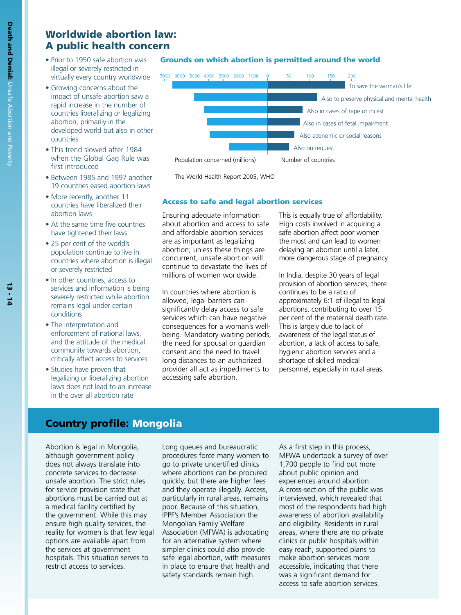## **Worldwide abortion law: A public health concern**

- Prior to 1950 safe abortion was illegal or severely restricted in virtually every country worldwide
- Growing concerns about the impact of unsafe abortion saw a rapid increase in the number of countries liberalizing or legalizing abortion, primarily in the developed world but also in other countries
- This trend slowed after 1984 when the Global Gag Rule was first introduced
- Between 1985 and 1997 another 19 countries eased abortion laws
- More recently, another 11 countries have liberalized their abortion laws
- At the same time five countries have tightened their laws
- 25 per cent of the world's population continue to live in countries where abortion is illegal or severely restricted
- In other countries, access to services and information is being severely restricted while abortion remains legal under certain conditions
- The interpretation and enforcement of national laws, and the attitude of the medical community towards abortion, critically affect access to services
- Studies have proven that legalizing or liberalizing abortion laws does not lead to an increase in the over all abortion rate

#### **Grounds on which abortion is permitted around the world**



The World Health Report 2005, WHO

#### **Access to safe and legal abortion services**

Ensuring adequate information about abortion and access to safe and affordable abortion services are as important as legalizing abortion; unless these things are concurrent, unsafe abortion will continue to devastate the lives of millions of women worldwide.

In countries where abortion is allowed, legal barriers can significantly delay access to safe services which can have negative consequences for a woman's wellbeing. Mandatory waiting periods, the need for spousal or guardian consent and the need to travel long distances to an authorized provider all act as impediments to accessing safe abortion.

This is equally true of affordability. High costs involved in acquiring a safe abortion affect poor women the most and can lead to women delaying an abortion until a later, more dangerous stage of pregnancy.

In India, despite 30 years of legal provision of abortion services, there continues to be a ratio of approximately 6:1 of illegal to legal abortions, contributing to over 15 per cent of the maternal death rate. This is largely due to lack of awareness of the legal status of abortion, a lack of access to safe, hygienic abortion services and a shortage of skilled medical personnel, especially in rural areas.

## **Country profile: Mongolia**

Abortion is legal in Mongolia, although government policy does not always translate into concrete services to decrease unsafe abortion. The strict rules for service provision state that abortions must be carried out at a medical facility certified by the government. While this may ensure high quality services, the reality for women is that few legal options are available apart from the services at government hospitals. This situation serves to restrict access to services.

Long queues and bureaucratic procedures force many women to go to private uncertified clinics where abortions can be procured quickly, but there are higher fees and they operate illegally. Access, particularly in rural areas, remains poor. Because of this situation, IPPF's Member Association the Mongolian Family Welfare Association (MFWA) is advocating for an alternative system where simpler clinics could also provide safe legal abortion, with measures in place to ensure that health and safety standards remain high.

As a first step in this process, MFWA undertook a survey of over 1,700 people to find out more about public opinion and experiences around abortion. A cross-section of the public was interviewed, which revealed that most of the respondents had high awareness of abortion availability and eligibility. Residents in rural areas, where there are no private clinics or public hospitals within easy reach, supported plans to make abortion services more accessible, indicating that there was a significant demand for access to safe abortion services.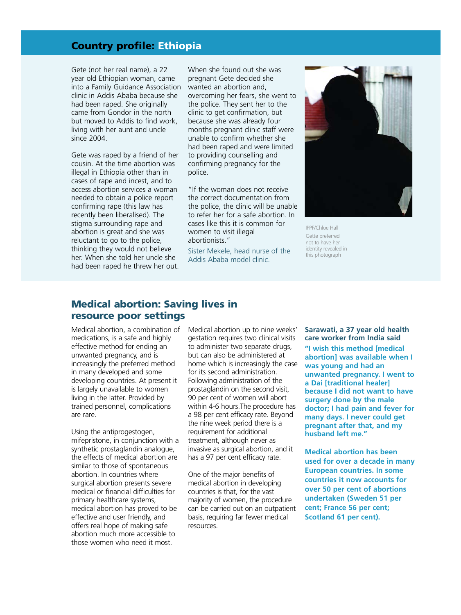## **Country profile: Ethiopia**

Gete (not her real name), a 22 year old Ethiopian woman, came into a Family Guidance Association clinic in Addis Ababa because she had been raped. She originally came from Gondor in the north but moved to Addis to find work, living with her aunt and uncle since 2004.

Gete was raped by a friend of her cousin. At the time abortion was illegal in Ethiopia other than in cases of rape and incest, and to access abortion services a woman needed to obtain a police report confirming rape (this law has recently been liberalised). The stigma surrounding rape and abortion is great and she was reluctant to go to the police, thinking they would not believe her. When she told her uncle she had been raped he threw her out. When she found out she was pregnant Gete decided she wanted an abortion and, overcoming her fears, she went to the police. They sent her to the clinic to get confirmation, but because she was already four months pregnant clinic staff were unable to confirm whether she had been raped and were limited to providing counselling and confirming pregnancy for the police.

"If the woman does not receive the correct documentation from the police, the clinic will be unable to refer her for a safe abortion. In cases like this it is common for women to visit illegal abortionists."

Sister Mekele, head nurse of the Addis Ababa model clinic.



IPPF/Chloe Hall Gette preferred not to have her identity revealed in this photograph

## **Medical abortion: Saving lives in resource poor settings**

Medical abortion, a combination of medications, is a safe and highly effective method for ending an unwanted pregnancy, and is increasingly the preferred method in many developed and some developing countries. At present it is largely unavailable to women living in the latter. Provided by trained personnel, complications are rare.

Using the antiprogestogen, mifepristone, in conjunction with a synthetic prostaglandin analogue, the effects of medical abortion are similar to those of spontaneous abortion. In countries where surgical abortion presents severe medical or financial difficulties for primary healthcare systems, medical abortion has proved to be effective and user friendly, and offers real hope of making safe abortion much more accessible to those women who need it most.

Medical abortion up to nine weeks' gestation requires two clinical visits to administer two separate drugs, but can also be administered at home which is increasingly the case for its second administration. Following administration of the prostaglandin on the second visit, 90 per cent of women will abort within 4-6 hours.The procedure has a 98 per cent efficacy rate. Beyond the nine week period there is a requirement for additional treatment, although never as invasive as surgical abortion, and it has a 97 per cent efficacy rate.

One of the major benefits of medical abortion in developing countries is that, for the vast majority of women, the procedure can be carried out on an outpatient basis, requiring far fewer medical resources.

**Sarawati, a 37 year old health care worker from India said "I wish this method [medical abortion] was available when I was young and had an unwanted pregnancy. I went to a Dai [traditional healer] because I did not want to have surgery done by the male doctor; I had pain and fever for many days. I never could get pregnant after that, and my husband left me."**

**Medical abortion has been used for over a decade in many European countries. In some countries it now accounts for over 50 per cent of abortions undertaken (Sweden 51 per cent; France 56 per cent; Scotland 61 per cent).**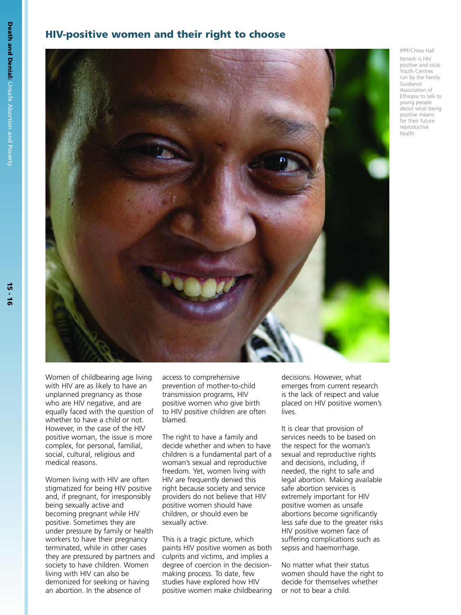## **HIV-positive women and their right to choose**



IPPF/Chloe Hall

Itenesh is HIV positive and visits .<br>Youth Centres run by the Family Guidance Association of Ethiopia to talk to young people about what being positive means for their future reproductive health

Women of childbearing age living with HIV are as likely to have an unplanned pregnancy as those who are HIV negative, and are equally faced with the question of whether to have a child or not. However, in the case of the HIV positive woman, the issue is more complex, for personal, familial, social, cultural, religious and medical reasons.

Women living with HIV are often stigmatized for being HIV positive and, if pregnant, for irresponsibly being sexually active and becoming pregnant while HIV positive. Sometimes they are under pressure by family or health workers to have their pregnancy terminated, while in other cases they are pressured by partners and society to have children. Women living with HIV can also be demonized for seeking or having an abortion. In the absence of

access to comprehensive prevention of mother-to-child transmission programs, HIV positive women who give birth to HIV positive children are often blamed.

The right to have a family and decide whether and when to have children is a fundamental part of a woman's sexual and reproductive freedom. Yet, women living with HIV are frequently denied this right because society and service providers do not believe that HIV positive women should have children, or should even be sexually active.

This is a tragic picture, which paints HIV positive women as both culprits and victims, and implies a degree of coercion in the decisionmaking process. To date, few studies have explored how HIV positive women make childbearing

decisions. However, what emerges from current research is the lack of respect and value placed on HIV positive women's lives.

It is clear that provision of services needs to be based on the respect for the woman's sexual and reproductive rights and decisions, including, if needed, the right to safe and legal abortion. Making available safe abortion services is extremely important for HIV positive women as unsafe abortions become significantly less safe due to the greater risks HIV positive women face of suffering complications such as sepsis and haemorrhage.

No matter what their status women should have the right to decide for themselves whether or not to bear a child.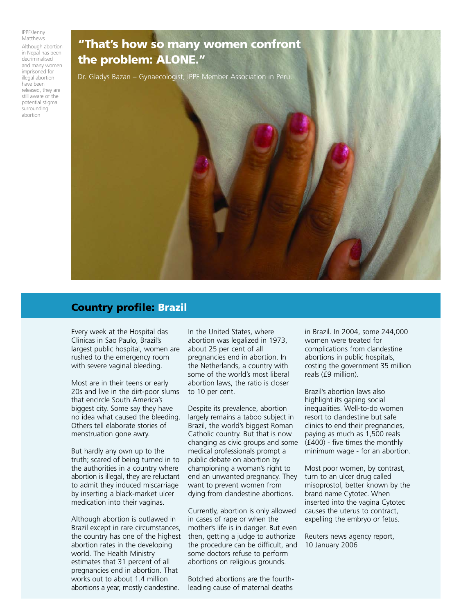IPPF/Jenny **Matthews** 

Although abortion in Nepal has been decriminalised and many women imprisoned for illegal abortion have been released, they are still aware of the potential stigma surrounding abortion

# **"That's how so many women confront the problem: ALONE."** Dr. Gladys Bazan – Gynaecologist, IPPF Member Association in Peru.

## **Country profile: Brazil**

Every week at the Hospital das Clinicas in Sao Paulo, Brazil's largest public hospital, women are rushed to the emergency room with severe vaginal bleeding.

Most are in their teens or early 20s and live in the dirt-poor slums that encircle South America's biggest city. Some say they have no idea what caused the bleeding. Others tell elaborate stories of menstruation gone awry.

But hardly any own up to the truth; scared of being turned in to the authorities in a country where abortion is illegal, they are reluctant to admit they induced miscarriage by inserting a black-market ulcer medication into their vaginas.

Although abortion is outlawed in Brazil except in rare circumstances, the country has one of the highest abortion rates in the developing world. The Health Ministry estimates that 31 percent of all pregnancies end in abortion. That works out to about 1.4 million abortions a year, mostly clandestine.

In the United States, where abortion was legalized in 1973, about 25 per cent of all pregnancies end in abortion. In the Netherlands, a country with some of the world's most liberal abortion laws, the ratio is closer to 10 per cent.

Despite its prevalence, abortion largely remains a taboo subject in Brazil, the world's biggest Roman Catholic country. But that is now changing as civic groups and some medical professionals prompt a public debate on abortion by championing a woman's right to end an unwanted pregnancy. They want to prevent women from dying from clandestine abortions.

Currently, abortion is only allowed in cases of rape or when the mother's life is in danger. But even then, getting a judge to authorize the procedure can be difficult, and some doctors refuse to perform abortions on religious grounds.

Botched abortions are the fourthleading cause of maternal deaths

in Brazil. In 2004, some 244,000 women were treated for complications from clandestine abortions in public hospitals, costing the government 35 million reals (£9 million).

Brazil's abortion laws also highlight its gaping social inequalities. Well-to-do women resort to clandestine but safe clinics to end their pregnancies, paying as much as 1,500 reals (£400) - five times the monthly minimum wage - for an abortion.

Most poor women, by contrast, turn to an ulcer drug called misoprostol, better known by the brand name Cytotec. When inserted into the vagina Cytotec causes the uterus to contract, expelling the embryo or fetus.

Reuters news agency report, 10 January 2006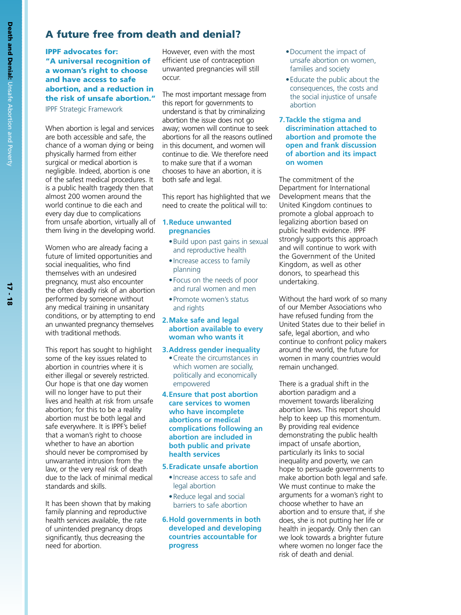## **A future free from death and denial?**

#### **IPPF advocates for: "A universal recognition of a woman's right to choose and have access to safe abortion, and a reduction in the risk of unsafe abortion."** IPPF Strategic Framework

When abortion is legal and services are both accessible and safe, the chance of a woman dying or being physically harmed from either surgical or medical abortion is negligible. Indeed, abortion is one of the safest medical procedures. It is a public health tragedy then that almost 200 women around the world continue to die each and every day due to complications from unsafe abortion, virtually all of **1.Reduce unwanted** them living in the developing world.

Women who are already facing a future of limited opportunities and social inequalities, who find themselves with an undesired pregnancy, must also encounter the often deadly risk of an abortion performed by someone without any medical training in unsanitary conditions, or by attempting to end an unwanted pregnancy themselves with traditional methods.

This report has sought to highlight some of the key issues related to abortion in countries where it is either illegal or severely restricted. Our hope is that one day women will no longer have to put their lives and health at risk from unsafe abortion; for this to be a reality abortion must be both legal and safe everywhere. It is IPPF's belief that a woman's right to choose whether to have an abortion should never be compromised by unwarranted intrusion from the law, or the very real risk of death due to the lack of minimal medical standards and skills.

It has been shown that by making family planning and reproductive health services available, the rate of unintended pregnancy drops significantly, thus decreasing the need for abortion.

However, even with the most efficient use of contraception unwanted pregnancies will still occur.

The most important message from this report for governments to understand is that by criminalizing abortion the issue does not go away; women will continue to seek abortions for all the reasons outlined in this document, and women will continue to die. We therefore need to make sure that if a woman chooses to have an abortion, it is both safe and legal.

This report has highlighted that we need to create the political will to:

## **pregnancies**

- •Build upon past gains in sexual and reproductive health
- •Increase access to family planning
- •Focus on the needs of poor and rural women and men
- •Promote women's status and rights

#### **2.Make safe and legal abortion available to every woman who wants it**

- **3.Address gender inequality**
	- •Create the circumstances in which women are socially, politically and economically empowered

#### **4.Ensure that post abortion care services to women who have incomplete abortions or medical complications following an abortion are included in both public and private health services**

### **5.Eradicate unsafe abortion**

- •Increase access to safe and legal abortion
- •Reduce legal and social barriers to safe abortion
- **6.Hold governments in both developed and developing countries accountable for progress**
- •Document the impact of unsafe abortion on women, families and society
- •Educate the public about the consequences, the costs and the social injustice of unsafe abortion
- **7.Tackle the stigma and discrimination attached to abortion and promote the open and frank discussion of abortion and its impact on women**

The commitment of the Department for International Development means that the United Kingdom continues to promote a global approach to legalizing abortion based on public health evidence. IPPF strongly supports this approach and will continue to work with the Government of the United Kingdom, as well as other donors, to spearhead this undertaking.

Without the hard work of so many of our Member Associations who have refused funding from the United States due to their belief in safe, legal abortion, and who continue to confront policy makers around the world, the future for women in many countries would remain unchanged.

There is a gradual shift in the abortion paradigm and a movement towards liberalizing abortion laws. This report should help to keep up this momentum. By providing real evidence demonstrating the public health impact of unsafe abortion, particularly its links to social inequality and poverty, we can hope to persuade governments to make abortion both legal and safe. We must continue to make the arguments for a woman's right to choose whether to have an abortion and to ensure that, if she does, she is not putting her life or health in jeopardy. Only then can we look towards a brighter future where women no longer face the risk of death and denial.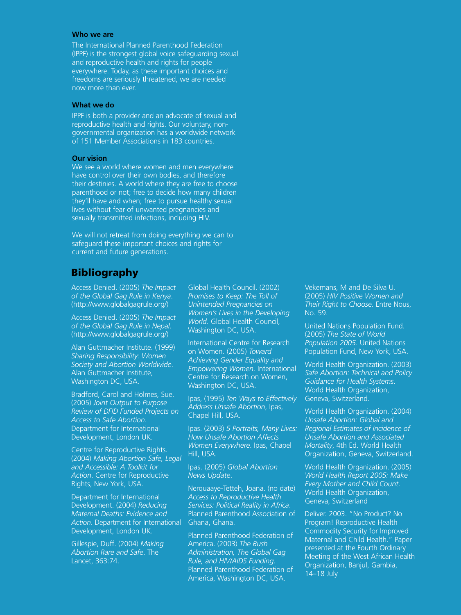#### **Who we are**

The International Planned Parenthood Federation (IPPF) is the strongest global voice safeguarding sexual and reproductive health and rights for people everywhere. Today, as these important choices and freedoms are seriously threatened, we are needed now more than ever.

#### **What we do**

IPPF is both a provider and an advocate of sexual and reproductive health and rights. Our voluntary, nongovernmental organization has a worldwide network of 151 Member Associations in 183 countries.

#### **Our vision**

We see a world where women and men everywhere have control over their own bodies, and therefore their destinies. A world where they are free to choose parenthood or not; free to decide how many children they'll have and when; free to pursue healthy sexual lives without fear of unwanted pregnancies and sexually transmitted infections, including HIV.

We will not retreat from doing everything we can to safeguard these important choices and rights for current and future generations.

## **Bibliography**

Access Denied. (2005) *The Impact of the Global Gag Rule in Kenya*. (http://www.globalgagrule.org/)

Access Denied. (2005) *The Impact of the Global Gag Rule in Nepal*. (http://www.globalgagrule.org/)

Alan Guttmacher Institute. (1999) *Sharing Responsibility: Women Society and Abortion Worldwide*. Alan Guttmacher Institute, Washington DC, USA.

Bradford, Carol and Holmes, Sue. (2005) *Joint Output to Purpose Review of DFID Funded Projects on Access to Safe Abortion*. Department for International Development, London UK.

Centre for Reproductive Rights. (2004) *Making Abortion Safe, Legal and Accessible: A Toolkit for Action*. Centre for Reproductive Rights, New York, USA.

Department for International Development. (2004) *Reducing Maternal Deaths: Evidence and Action*. Department for International Development, London UK.

Gillespie, Duff. (2004) *Making Abortion Rare and Safe*. The Lancet, 363:74.

Global Health Council. (2002) *Promises to Keep: The Toll of Unintended Pregnancies on Women's Lives in the Developing World*. Global Health Council, Washington DC, USA.

International Centre for Research on Women. (2005) *Toward Achieving Gender Equality and Empowering Women*. International Centre for Research on Women, Washington DC, USA.

Ipas, (1995) *Ten Ways to Effectively Address Unsafe Abortion*, Ipas, Chapel Hill, USA.

Ipas. (2003) *5 Portraits, Many Lives: How Unsafe Abortion Affects Women Everywhere*. Ipas, Chapel Hill, USA.

Ipas. (2005) *Global Abortion News Update*.

Nerquaaye-Tetteh, Joana. (no date) *Access to Reproductive Health Services: Political Reality in Africa*. Planned Parenthood Association of Ghana, Ghana.

Planned Parenthood Federation of America. (2003) *The Bush Administration, The Global Gag Rule, and HIV/AIDS Funding*. Planned Parenthood Federation of America, Washington DC, USA.

Vekemans, M and De Silva U. (2005) *HIV Positive Women and Their Right to Choose*. Entre Nous, No. 59.

United Nations Population Fund. (2005) *The State of World Population 2005*. United Nations Population Fund, New York, USA.

World Health Organization. (2003) *Safe Abortion: Technical and Policy Guidance for Health Systems*. World Health Organization, Geneva, Switzerland.

World Health Organization. (2004) *Unsafe Abortion: Global and Regional Estimates of Incidence of Unsafe Abortion and Associated Mortality*, 4th Ed. World Health Organization, Geneva, Switzerland.

World Health Organization. (2005) *World Health Report 2005: Make Every Mother and Child Count*. World Health Organization, Geneva, Switzerland

Deliver. 2003. "No Product? No Program! Reproductive Health Commodity Security for Improved Maternal and Child Health." Paper presented at the Fourth Ordinary Meeting of the West African Health Organization, Banjul, Gambia, 14–18 July